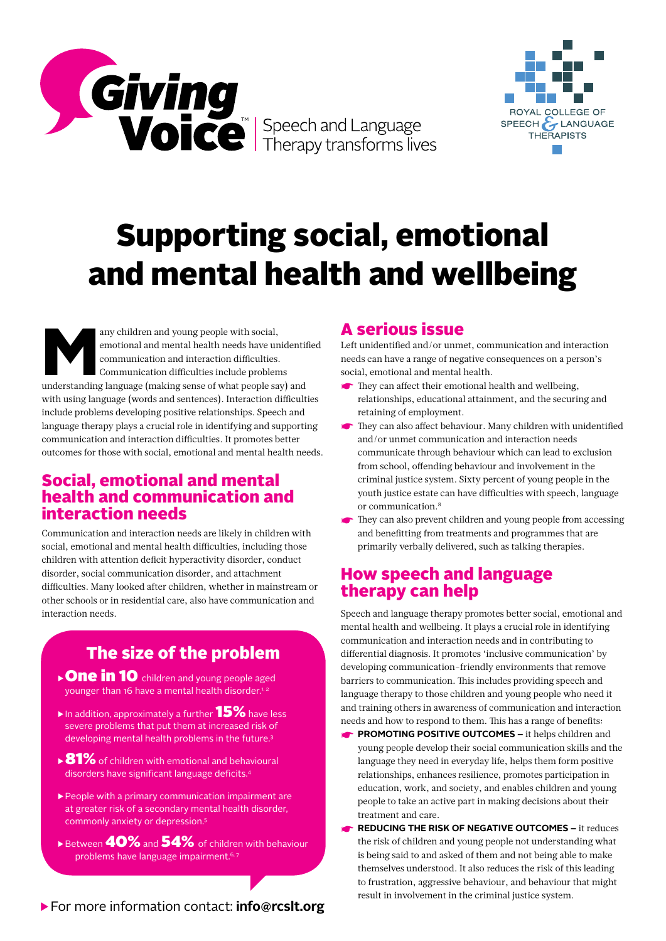



# Supporting social, emotional and mental health and wellbeing

any children and young people with social,<br>
emotional and mental health needs have unidentif<br>
communication and interaction difficulties.<br>
Communication difficulties include problems<br>
understanding language (making sense o emotional and mental health needs have unidentified communication and interaction difficulties. Communication difficulties include problems with using language (words and sentences). Interaction difficulties include problems developing positive relationships. Speech and language therapy plays a crucial role in identifying and supporting communication and interaction difficulties. It promotes better outcomes for those with social, emotional and mental health needs.

#### Social, emotional and mental health and communication and interaction needs

Communication and interaction needs are likely in children with social, emotional and mental health difficulties, including those children with attention deficit hyperactivity disorder, conduct disorder, social communication disorder, and attachment difficulties. Many looked after children, whether in mainstream or other schools or in residential care, also have communication and interaction needs.

## The size of the problem

- ▶ One in 10 children and young people aged younger than 16 have a mental health disorder.1, 2
- $\blacktriangleright$  In addition, approximately a further  $15\%$  have less severe problems that put them at increased risk of developing mental health problems in the future.3
- $\rightarrow$  81% of children with emotional and behavioural disorders have significant language deficits.4
- ▶People with a primary communication impairment are at greater risk of a secondary mental health disorder, commonly anxiety or depression.5
- $\triangleright$  Between  $40\%$  and  $54\%$  of children with behaviour problems have language impairment.<sup>6, 7</sup>

#### A serious issue

Left unidentified and/or unmet, communication and interaction needs can have a range of negative consequences on a person's social, emotional and mental health.

- ☛ They can affect their emotional health and wellbeing, relationships, educational attainment, and the securing and retaining of employment.
- ☛ They can also affect behaviour. Many children with unidentified and/or unmet communication and interaction needs communicate through behaviour which can lead to exclusion from school, offending behaviour and involvement in the criminal justice system. Sixty percent of young people in the youth justice estate can have difficulties with speech, language or communication.8
- ☛ They can also prevent children and young people from accessing and benefitting from treatments and programmes that are primarily verbally delivered, such as talking therapies.

### How speech and language therapy can help

Speech and language therapy promotes better social, emotional and mental health and wellbeing. It plays a crucial role in identifying communication and interaction needs and in contributing to differential diagnosis. It promotes 'inclusive communication' by developing communication-friendly environments that remove barriers to communication. This includes providing speech and language therapy to those children and young people who need it and training others in awareness of communication and interaction needs and how to respond to them. This has a range of benefits:

- **EXTEROMOTING POSITIVE OUTCOMES –** it helps children and young people develop their social communication skills and the language they need in everyday life, helps them form positive relationships, enhances resilience, promotes participation in education, work, and society, and enables children and young people to take an active part in making decisions about their treatment and care.
- ☛ **REDUCING THE RISK OF NEGATIVE OUTCOMES –** it reduces the risk of children and young people not understanding what is being said to and asked of them and not being able to make themselves understood. It also reduces the risk of this leading to frustration, aggressive behaviour, and behaviour that might result in involvement in the criminal justice system.

▶For more information contact: **info@rcslt.org**